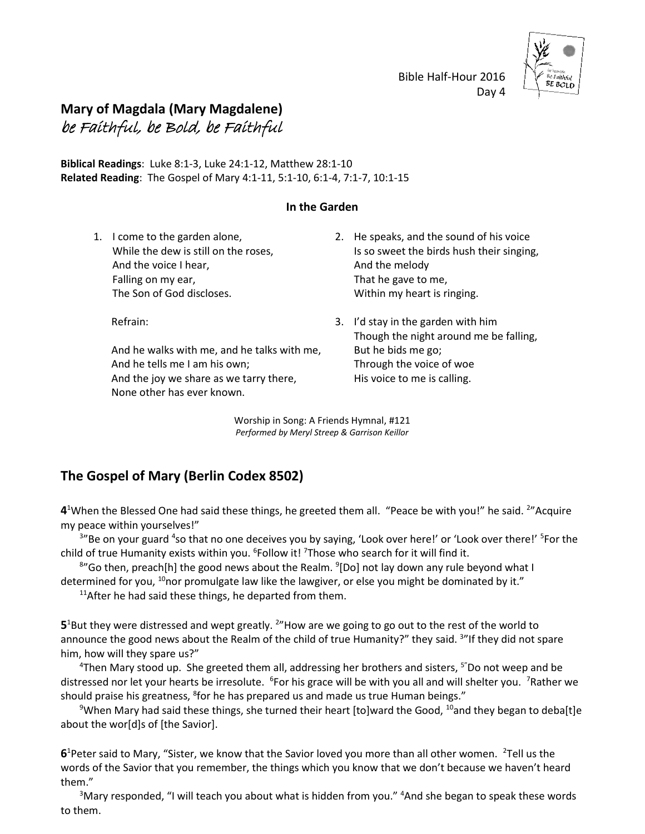Bible Half-Hour 2016 Day 4



## **Mary of Magdala (Mary Magdalene)** be Faithful, be Bold, be Faithful

**Biblical Readings**: Luke 8:1-3, Luke 24:1-12, Matthew 28:1-10 **Related Reading**: The Gospel of Mary 4:1-11, 5:1-10, 6:1-4, 7:1-7, 10:1-15

## **In the Garden**

1. I come to the garden alone, While the dew is still on the roses, And the voice I hear, Falling on my ear, The Son of God discloses.

Refrain:

And he walks with me, and he talks with me, And he tells me I am his own; And the joy we share as we tarry there, None other has ever known.

- 2. He speaks, and the sound of his voice Is so sweet the birds hush their singing, And the melody That he gave to me, Within my heart is ringing.
- 3. I'd stay in the garden with him Though the night around me be falling, But he bids me go; Through the voice of woe His voice to me is calling.

Worship in Song: A Friends Hymnal, #121 *Performed by Meryl Streep & Garrison Keillor*

## **The Gospel of Mary (Berlin Codex 8502)**

4<sup>1</sup>When the Blessed One had said these things, he greeted them all. "Peace be with you!" he said. <sup>2</sup>"Acquire my peace within yourselves!"

<sup>3</sup>"Be on your guard <sup>4</sup>so that no one deceives you by saying, 'Look over here!' or 'Look over there!' <sup>5</sup>For the child of true Humanity exists within you. <sup>6</sup>Follow it! <sup>7</sup>Those who search for it will find it.

<sup>8</sup>"Go then, preach[h] the good news about the Realm. <sup>9</sup>[Do] not lay down any rule beyond what I determined for you, <sup>10</sup>nor promulgate law like the lawgiver, or else you might be dominated by it."

 $11$ After he had said these things, he departed from them.

5<sup>1</sup>But they were distressed and wept greatly. <sup>2</sup>"How are we going to go out to the rest of the world to announce the good news about the Realm of the child of true Humanity?" they said. <sup>3</sup>"If they did not spare him, how will they spare us?"

<sup>4</sup>Then Mary stood up. She greeted them all, addressing her brothers and sisters,  $5"$ Do not weep and be distressed nor let your hearts be irresolute. <sup>6</sup>For his grace will be with you all and will shelter you. <sup>7</sup>Rather we should praise his greatness, <sup>8</sup>for he has prepared us and made us true Human beings."

<sup>9</sup>When Mary had said these things, she turned their heart [to]ward the Good, <sup>10</sup>and they began to deba[t]e about the wor[d]s of [the Savior].

6<sup>1</sup>Peter said to Mary, "Sister, we know that the Savior loved you more than all other women. <sup>2</sup>Tell us the words of the Savior that you remember, the things which you know that we don't because we haven't heard them."

<sup>3</sup>Mary responded, "I will teach you about what is hidden from you." <sup>4</sup>And she began to speak these words to them.